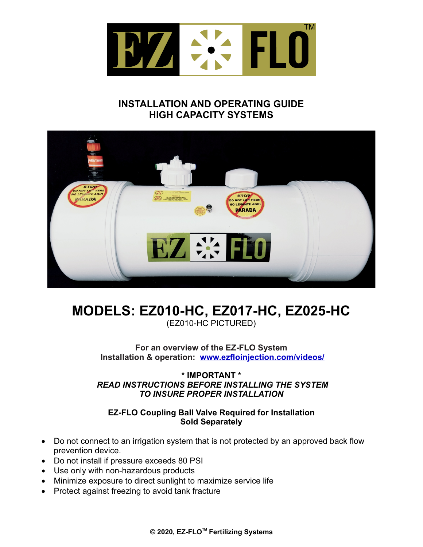

## **INSTALLATION AND OPERATING GUIDE HIGH CAPACITY SYSTEMS**



# **MODELS: EZ010-HC, EZ017-HC, EZ025-HC**

(EZ010-HC PICTURED)

**For an overview of the EZ-FLO System Installation & operation: [www.ezfloinjection.com/videos/](http://www.ezflo1.com)**

**\* IMPORTANT \***  *READ INSTRUCTIONS BEFORE INSTALLING THE SYSTEM TO INSURE PROPER INSTALLATION*

#### **EZ-FLO Coupling Ball Valve Required for Installation Sold Separately**

- Do not connect to an irrigation system that is not protected by an approved back flow prevention device.
- · Do not install if pressure exceeds 80 PSI
- · Use only with non-hazardous products
- · Minimize exposure to direct sunlight to maximize service life
- · Protect against freezing to avoid tank fracture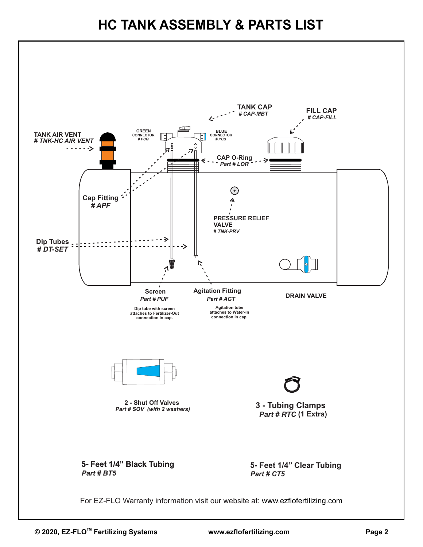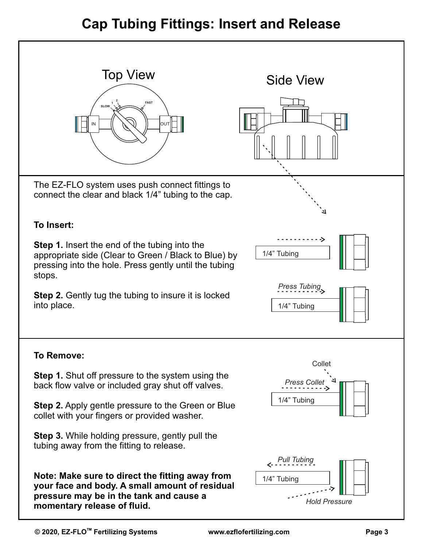# **Cap Tubing Fittings: Insert and Release**

| <b>Top View</b><br><b>FAST</b><br><b>SLOW</b><br>lout                                                                                                                                                                                                                                                                                                                                 | <b>Side View</b>                                                   |
|---------------------------------------------------------------------------------------------------------------------------------------------------------------------------------------------------------------------------------------------------------------------------------------------------------------------------------------------------------------------------------------|--------------------------------------------------------------------|
| The EZ-FLO system uses push connect fittings to<br>connect the clear and black 1/4" tubing to the cap.<br>To Insert:<br><b>Step 1.</b> Insert the end of the tubing into the<br>appropriate side (Clear to Green / Black to Blue) by<br>pressing into the hole. Press gently until the tubing<br>stops.<br><b>Step 2.</b> Gently tug the tubing to insure it is locked<br>into place. | 1/4" Tubing<br>Press Tubing<br>1/4" Tubing                         |
| To Remove:<br><b>Step 1.</b> Shut off pressure to the system using the<br>back flow valve or included gray shut off valves.<br><b>Step 2.</b> Apply gentle pressure to the Green or Blue<br>collet with your fingers or provided washer.<br><b>Step 3.</b> While holding pressure, gently pull the<br>tubing away from the fitting to release.                                        | Collet<br><b>Press Collet</b><br>1/4" Tubing<br><b>Pull Tubing</b> |
| Note: Make sure to direct the fitting away from<br>your face and body. A small amount of residual<br>pressure may be in the tank and cause a<br>momentary release of fluid.                                                                                                                                                                                                           | 1/4" Tubing<br><b>Hold Pressure</b>                                |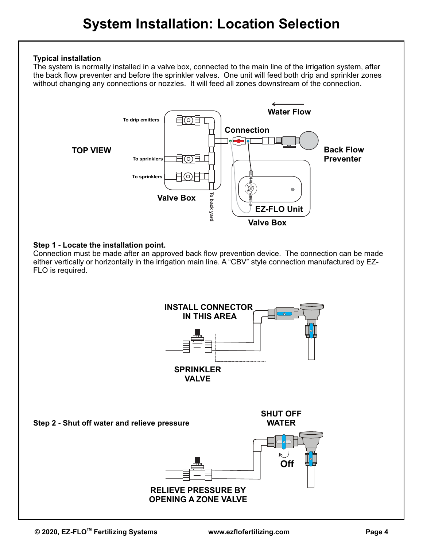#### **Typical installation**

The system is normally installed in a valve box, connected to the main line of the irrigation system, after the back flow preventer and before the sprinkler valves. One unit will feed both drip and sprinkler zones without changing any connections or nozzles. It will feed all zones downstream of the connection.



#### **Step 1 - Locate the installation point.**

Connection must be made after an approved back flow prevention device. The connection can be made either vertically or horizontally in the irrigation main line. A "CBV" style connection manufactured by EZ-FLO is required.

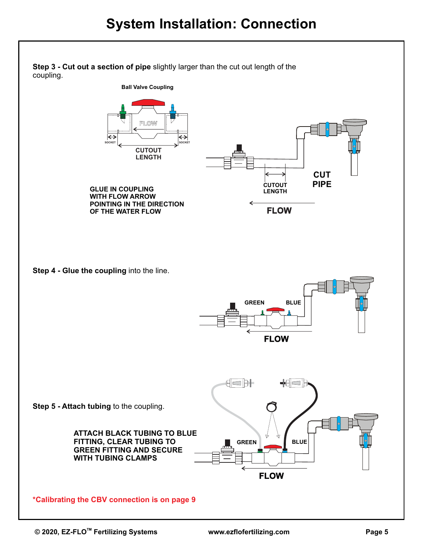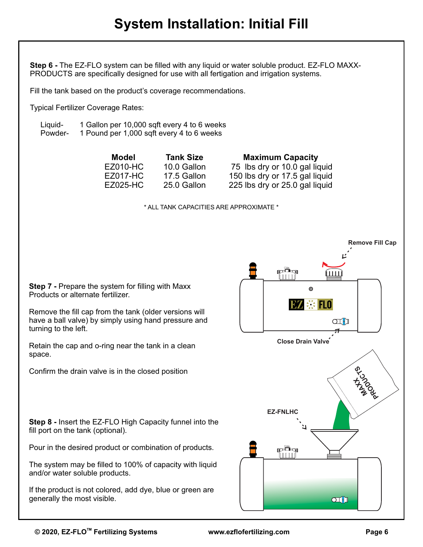# **System Installation: Initial Fill**

**Step 6 -** The EZ-FLO system can be filled with any liquid or water soluble product. EZ-FLO MAXX-PRODUCTS are specifically designed for use with all fertigation and irrigation systems.

Fill the tank based on the product's coverage recommendations.

Typical Fertilizer Coverage Rates:

Liquid- 1 Gallon per 10,000 sqft every 4 to 6 weeks<br>Powder- 1 Pound per 1.000 sqft every 4 to 6 weeks 1 Pound per 1,000 sqft every 4 to 6 weeks

> **Model Tank Size Maximum Capacity** EZ010-HC 10.0 Gallon 75 lbs dry or 10.0 gal liquid<br>FZ017-HC 17.5 Gallon 150 lbs dry or 17.5 gal liquid 150 lbs dry or 17.5 gal liquid EZ025-HC 25.0 Gallon 225 lbs dry or 25.0 gal liquid

> > \* ALL TANK CAPACITIES ARE APPROXIMATE \*

**Step 7 - Prepare the system for filling with Maxx** Products or alternate fertilizer.

Remove the fill cap from the tank (older versions will have a ball valve) by simply using hand pressure and turning to the left.

Retain the cap and o-ring near the tank in a clean space.

Confirm the drain valve is in the closed position

**Step 8 -** Insert the EZ-FLO High Capacity funnel into the fill port on the tank (optional).

Pour in the desired product or combination of products.

The system may be filled to 100% of capacity with liquid and/or water soluble products.

If the product is not colored, add dye, blue or green are generally the most visible.

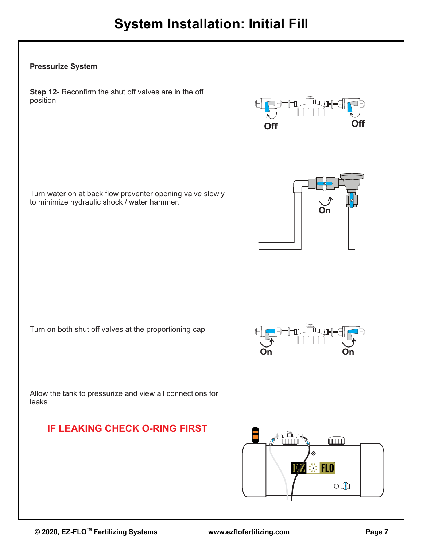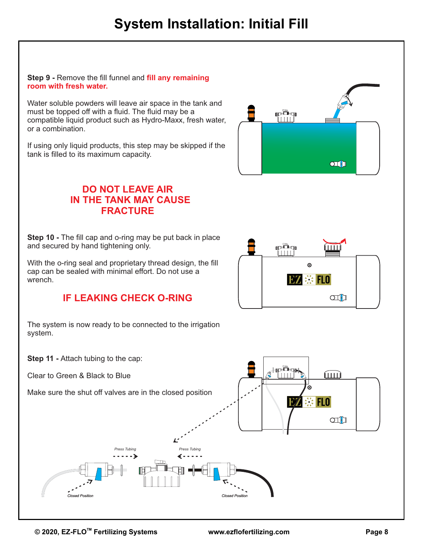#### **Step 9 -** Remove the fill funnel and **fill any remaining room with fresh water.**

Water soluble powders will leave air space in the tank and must be topped off with a fluid. The fluid may be a compatible liquid product such as Hydro-Maxx, fresh water, or a combination.

If using only liquid products, this step may be skipped if the tank is filled to its maximum capacity.

# rin  $O(f)$

## **DO NOT LEAVE AIR IN THE TANK MAY CAUSE FRACTURE**

**Step 10 -** The fill cap and o-ring may be put back in place and secured by hand tightening only.

With the o-ring seal and proprietary thread design, the fill cap can be sealed with minimal effort. Do not use a wrench.

## **IF LEAKING CHECK O-RING**



**Step 11 - Attach tubing to the cap:** 

Clear to Green & Black to Blue

system.

Make sure the shut off valves are in the closed position



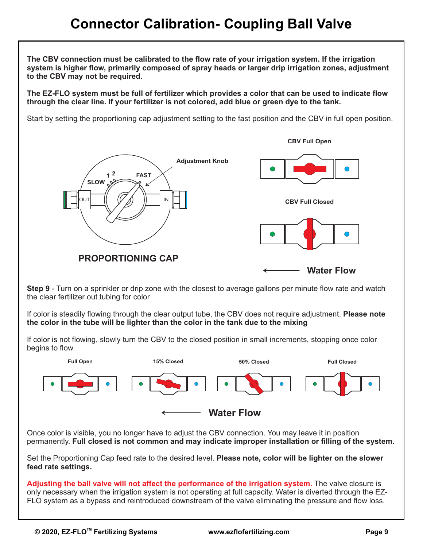# **Connector Calibration- Coupling Ball Valve**

**The CBV connection must be calibrated to the flow rate of your irrigation system. If the irrigation system is higher flow, primarily composed of spray heads or larger drip irrigation zones, adjustment to the CBV may not be required.**

**The EZ-FLO system must be full of fertilizer which provides a color that can be used to indicate flow through the clear line. If your fertilizer is not colored, add blue or green dye to the tank.** 

Start by setting the proportioning cap adjustment setting to the fast position and the CBV in full open position.



**Step 9** - Turn on a sprinkler or drip zone with the closest to average gallons per minute flow rate and watch the clear fertilizer out tubing for color

If color is steadily flowing through the clear output tube, the CBV does not require adjustment. **Please note the color in the tube will be lighter than the color in the tank due to the mixing**

If color is not flowing, slowly turn the CBV to the closed position in small increments, stopping once color begins to flow.



Once color is visible, you no longer have to adjust the CBV connection. You may leave it in position permanently. **Full closed is not common and may indicate improper installation or filling of the system.**

Set the Proportioning Cap feed rate to the desired level. **Please note, color will be lighter on the slower feed rate settings.**

**Adjusting the ball valve will not affect the performance of the irrigation system.** The valve closure is only necessary when the irrigation system is not operating at full capacity. Water is diverted through the EZ-FLO system as a bypass and reintroduced downstream of the valve eliminating the pressure and flow loss.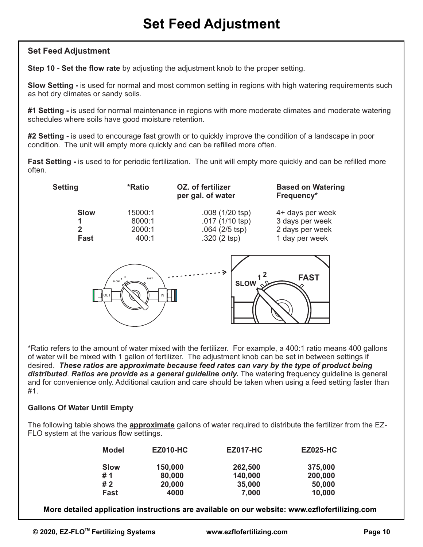#### **Set Feed Adjustment**

**Step 10 - Set the flow rate** by adjusting the adjustment knob to the proper setting.

**Slow Setting -** is used for normal and most common setting in regions with high watering requirements such as hot dry climates or sandy soils.

**#1 Setting -** is used for normal maintenance in regions with more moderate climates and moderate watering schedules where soils have good moisture retention.

**#2 Setting -** is used to encourage fast growth or to quickly improve the condition of a landscape in poor condition. The unit will empty more quickly and can be refilled more often.

**Fast Setting -** is used to for periodic fertilization. The unit will empty more quickly and can be refilled more often.



\*Ratio refers to the amount of water mixed with the fertilizer. For example, a 400:1 ratio means 400 gallons of water will be mixed with 1 gallon of fertilizer. The adjustment knob can be set in between settings if desired. *These ratios are approximate because feed rates can vary by the type of product being distributed*. *Ratios are provide as a general guideline only.* The watering frequency guideline is general and for convenience only. Additional caution and care should be taken when using a feed setting faster than #1.

#### **Gallons Of Water Until Empty**

The following table shows the **approximate** gallons of water required to distribute the fertilizer from the EZ-FLO system at the various flow settings.

| <b>Model</b> | <b>EZ010-HC</b> | <b>EZ017-HC</b> | <b>EZ025-HC</b> |
|--------------|-----------------|-----------------|-----------------|
| Slow         | 150,000         | 262,500         | 375,000         |
| # 1          | 80,000          | 140,000         | 200,000         |
| #2           | 20,000          | 35,000          | 50,000          |
| <b>Fast</b>  | 4000            | 7,000           | 10,000          |

**More detailed application instructions are available on our website: www.ezflofertilizing.com**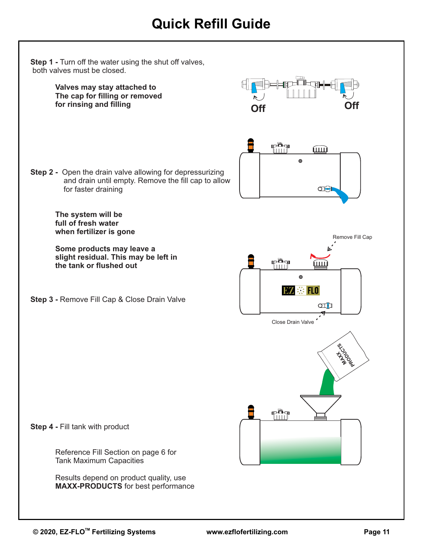# **Quick Refill Guide**

**Step 1 - Turn off the water using the shut off valves,**  both valves must be closed. ™∟त⊯ **Valves may stay attached to The cap for filling or removed for rinsing and filling Off Off** rin mm  $\bullet$ **Step 2 -** Open the drain valve allowing for depressurizing and drain until empty. Remove the fill cap to allow for faster draining Œ **The system will be full of fresh water when fertilizer is gone** Remove Fill Cap **Some products may leave a slight residual. This may be left in**  rin<br>Mu fш **the tank or flushed out**  $\odot$ **TM SE FLO Step 3 -** Remove Fill Cap & Close Drain Valve ah Close Drain Valve **MAXIMA** pin **Step 4 -** Fill tank with product Reference Fill Section on page 6 for Tank Maximum Capacities Results depend on product quality, use **MAXX-PRODUCTS** for best performance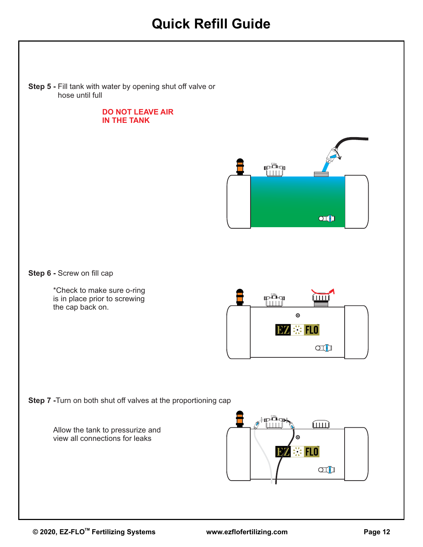# **Quick Refill Guide**

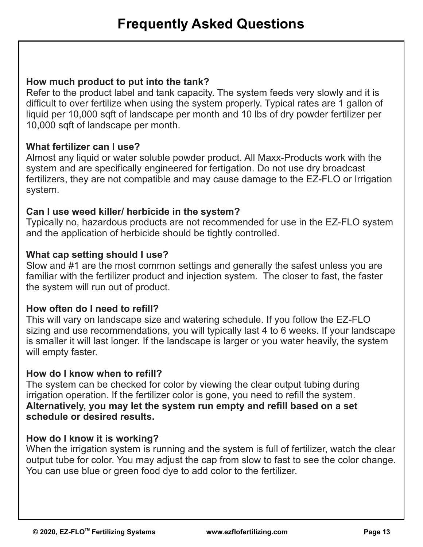#### **How much product to put into the tank?**

Refer to the product label and tank capacity. The system feeds very slowly and it is difficult to over fertilize when using the system properly. Typical rates are 1 gallon of liquid per 10,000 sqft of landscape per month and 10 lbs of dry powder fertilizer per 10,000 sqft of landscape per month.

#### **What fertilizer can I use?**

Almost any liquid or water soluble powder product. All Maxx-Products work with the system and are specifically engineered for fertigation. Do not use dry broadcast fertilizers, they are not compatible and may cause damage to the EZ-FLO or Irrigation system.

#### **Can I use weed killer/ herbicide in the system?**

Typically no, hazardous products are not recommended for use in the EZ-FLO system and the application of herbicide should be tightly controlled.

#### **What cap setting should I use?**

Slow and #1 are the most common settings and generally the safest unless you are familiar with the fertilizer product and injection system. The closer to fast, the faster the system will run out of product.

#### **How often do I need to refill?**

This will vary on landscape size and watering schedule. If you follow the EZ-FLO sizing and use recommendations, you will typically last 4 to 6 weeks. If your landscape is smaller it will last longer. If the landscape is larger or you water heavily, the system will empty faster.

#### **How do I know when to refill?**

The system can be checked for color by viewing the clear output tubing during irrigation operation. If the fertilizer color is gone, you need to refill the system. **Alternatively, you may let the system run empty and refill based on a set schedule or desired results.** 

#### **How do I know it is working?**

When the irrigation system is running and the system is full of fertilizer, watch the clear output tube for color. You may adjust the cap from slow to fast to see the color change. You can use blue or green food dye to add color to the fertilizer.